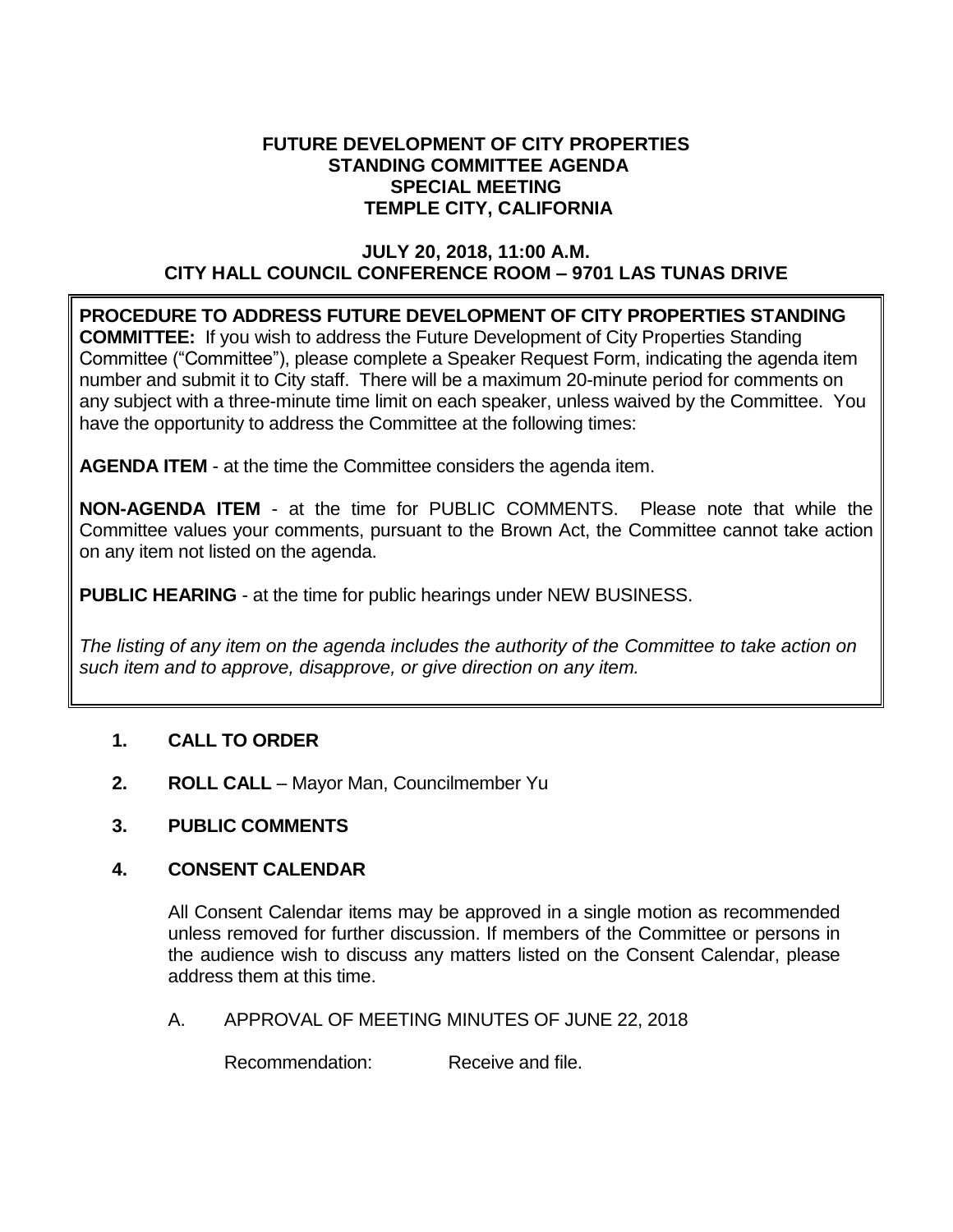#### **FUTURE DEVELOPMENT OF CITY PROPERTIES STANDING COMMITTEE AGENDA SPECIAL MEETING TEMPLE CITY, CALIFORNIA**

# **JULY 20, 2018, 11:00 A.M. CITY HALL COUNCIL CONFERENCE ROOM – 9701 LAS TUNAS DRIVE**

**PROCEDURE TO ADDRESS FUTURE DEVELOPMENT OF CITY PROPERTIES STANDING COMMITTEE:** If you wish to address the Future Development of City Properties Standing Committee ("Committee"), please complete a Speaker Request Form, indicating the agenda item number and submit it to City staff. There will be a maximum 20-minute period for comments on any subject with a three-minute time limit on each speaker, unless waived by the Committee. You have the opportunity to address the Committee at the following times:

**AGENDA ITEM** - at the time the Committee considers the agenda item.

**NON-AGENDA ITEM** - at the time for PUBLIC COMMENTS. Please note that while the Committee values your comments, pursuant to the Brown Act, the Committee cannot take action on any item not listed on the agenda.

**PUBLIC HEARING** - at the time for public hearings under NEW BUSINESS.

*The listing of any item on the agenda includes the authority of the Committee to take action on such item and to approve, disapprove, or give direction on any item.*

# **1. CALL TO ORDER**

- **2. ROLL CALL** Mayor Man, Councilmember Yu
- **3. PUBLIC COMMENTS**

# **4. CONSENT CALENDAR**

All Consent Calendar items may be approved in a single motion as recommended unless removed for further discussion. If members of the Committee or persons in the audience wish to discuss any matters listed on the Consent Calendar, please address them at this time.

A. APPROVAL OF MEETING MINUTES OF JUNE 22, 2018

Recommendation: Receive and file.